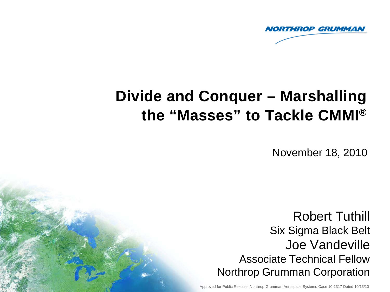

# **Divide and Conquer – Marshalling the "Masses" to Tackle CMMI®**

November 18, 2010

Robert Tuthill Six Sigma Black Belt Joe Vandeville Associate Technical Fellow Northrop Grumman Corporation

Approved for Public Release: Northrop Grumman Aerospace Systems Case 10-1317 Dated 10/13/10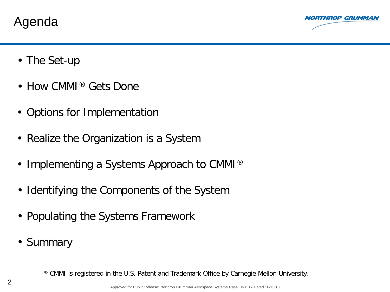Agenda



- The Set-up
- How CMMI<sup>®</sup> Gets Done
- Options for Implementation
- Realize the Organization is a System
- Implementing a Systems Approach to CMMI<sup>®</sup>
- Identifying the Components of the System
- Populating the Systems Framework
- Summary

® CMMI is registered in the U.S. Patent and Trademark Office by Carnegie Mellon University.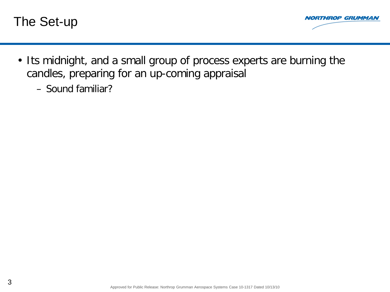



- Its midnight, and a small group of process experts are burning the candles, preparing for an up-coming appraisal
	- Sound familiar?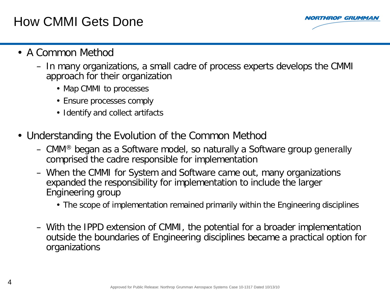# How CMMI Gets Done



- A Common Method
	- In many organizations, a small cadre of process experts develops the CMMI approach for their organization
		- Map CMMI to processes
		- Ensure processes comply
		- Identify and collect artifacts
- Understanding the Evolution of the Common Method
	- CMM® began as a Software model, so naturally a Software group generally comprised the cadre responsible for implementation
	- When the CMMI for System and Software came out, many organizations expanded the responsibility for implementation to include the larger Engineering group
		- The scope of implementation remained primarily within the Engineering disciplines
	- With the IPPD extension of CMMI, the potential for a broader implementation outside the boundaries of Engineering disciplines became a practical option for organizations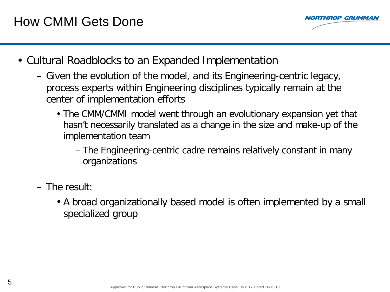

- Cultural Roadblocks to an Expanded Implementation
	- Given the evolution of the model, and its Engineering-centric legacy, process experts within Engineering disciplines typically remain at the center of implementation efforts
		- The CMM/CMMI model went through an evolutionary expansion yet that hasn't necessarily translated as a change in the size and make-up of the implementation team
			- The Engineering-centric cadre remains relatively constant in many organizations
	- $-$  The result:
		- A broad organizationally based model is often implemented by a small specialized group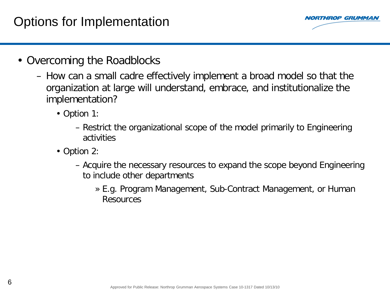# Options for Implementation



- Overcoming the Roadblocks
	- How can a small cadre effectively implement a broad model so that the organization at large will understand, embrace, and institutionalize the implementation?
		- Option 1:
			- Restrict the organizational scope of the model primarily to Engineering activities
		- Option 2:
			- Acquire the necessary resources to expand the scope beyond Engineering to include other departments
				- » E.g. Program Management, Sub-Contract Management, or Human Resources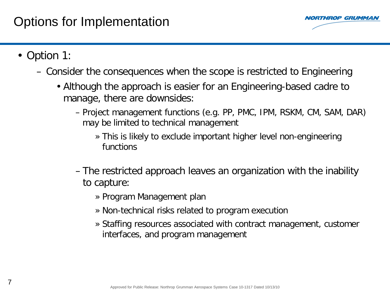

- Option 1:
	- Consider the consequences when the scope is restricted to Engineering
		- Although the approach is easier for an Engineering-based cadre to manage, there are downsides:
			- Project management functions (e.g. PP, PMC, IPM, RSKM, CM, SAM, DAR) may be limited to technical management
				- » This is likely to exclude important higher level non-engineering functions
			- The restricted approach leaves an organization with the inability to capture:
				- » Program Management plan
				- » Non-technical risks related to program execution
				- » Staffing resources associated with contract management, customer interfaces, and program management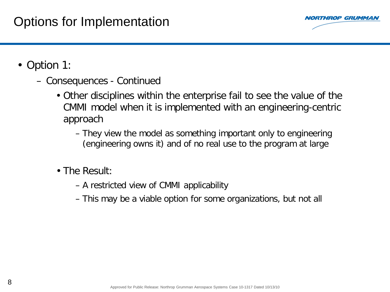

- Option 1:
	- Consequences Continued
		- Other disciplines within the enterprise fail to see the value of the CMMI model when it is implemented with an engineering-centric approach
			- They view the model as something important only to engineering (engineering owns it) and of no real use to the program at large
		- The Result:
			- A restricted view of CMMI applicability
			- This may be a viable option for some organizations, but not all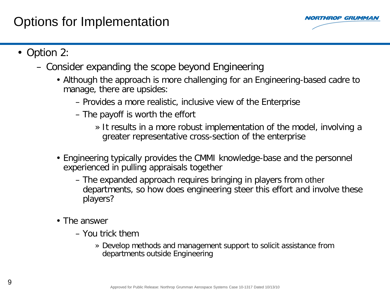## Options for Implementation



- Option 2:
	- Consider expanding the scope beyond Engineering
		- Although the approach is more challenging for an Engineering-based cadre to manage, there are upsides:
			- Provides a more realistic, inclusive view of the Enterprise
			- The payoff is worth the effort
				- » It results in a more robust implementation of the model, involving a greater representative cross-section of the enterprise
		- Engineering typically provides the CMMI knowledge-base and the personnel experienced in pulling appraisals together
			- The expanded approach requires bringing in players from other departments, so how does engineering steer this effort and involve these players?
		- The answer
			- You trick them
				- » Develop methods and management support to solicit assistance from departments outside Engineering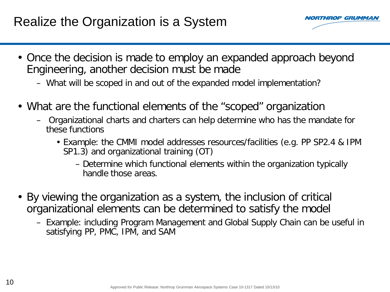# Realize the Organization is a System



- Once the decision is made to employ an expanded approach beyond Engineering, another decision must be made
	- What will be scoped in and out of the expanded model implementation?
- What are the functional elements of the "scoped" organization
	- Organizational charts and charters can help determine who has the mandate for these functions
		- Example: the CMMI model addresses resources/facilities (e.g. PP SP2.4 & IPM SP1.3) and organizational training (OT)
			- Determine which functional elements within the organization typically handle those areas.
- By viewing the organization as a system, the inclusion of critical organizational elements can be determined to satisfy the model
	- Example: including Program Management and Global Supply Chain can be useful in satisfying PP, PMC, IPM, and SAM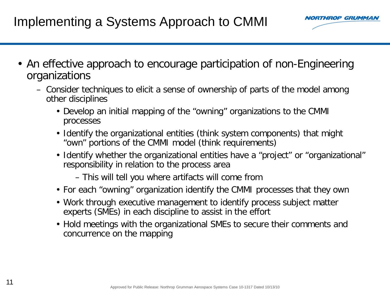

- An effective approach to encourage participation of non-Engineering organizations
	- Consider techniques to elicit a sense of ownership of parts of the model among other disciplines
		- Develop an initial mapping of the "owning" organizations to the CMMI processes
		- Identify the organizational entities (think system components) that might "own" portions of the CMMI model (think requirements)
		- Identify whether the organizational entities have a "project" or "organizational" responsibility in relation to the process area
			- This will tell you where artifacts will come from
		- For each "owning" organization identify the CMMI processes that they own
		- Work through executive management to identify process subject matter experts (SMEs) in each discipline to assist in the effort
		- Hold meetings with the organizational SMEs to secure their comments and concurrence on the mapping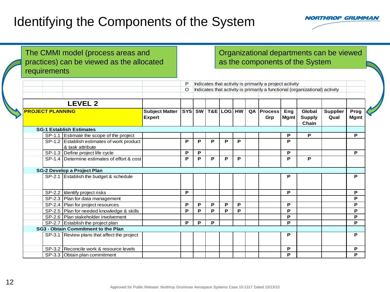

The CMMI model (process areas and practices) can be viewed as the allocated requirements

#### Organizational departments can be viewed as the components of the System

|                         |                                                                |                                        |   |   |                                       |   |   | Indicates that activity is primarily a project activity |                                                                             |                                  |                         |                     |
|-------------------------|----------------------------------------------------------------|----------------------------------------|---|---|---------------------------------------|---|---|---------------------------------------------------------|-----------------------------------------------------------------------------|----------------------------------|-------------------------|---------------------|
|                         |                                                                | $\circ$                                |   |   |                                       |   |   |                                                         | Indicates that activity is primarily a functional (organizational) activity |                                  |                         |                     |
|                         | <b>LEVEL 2</b>                                                 |                                        |   |   |                                       |   |   |                                                         |                                                                             |                                  |                         |                     |
| <b>PROJECT PLANNING</b> |                                                                | <b>Subject Matter</b><br><b>Expert</b> |   |   | $ $ SYS $ $ SW $ $ T&E $ $ LOG $ $ HW |   |   | <b>QA Process</b><br>Grp                                | Eng<br>Mgmt                                                                 | Global<br><b>Supply</b><br>Chain | <b>Supplier</b><br>Qual | Prog<br><b>Mgmt</b> |
|                         | <b>SG-1 Establish Estimates</b>                                |                                        |   |   |                                       |   |   |                                                         |                                                                             |                                  |                         |                     |
|                         | SP-1.1 Estimate the scope of the project                       |                                        |   |   |                                       |   |   |                                                         | P                                                                           | P                                |                         | P                   |
|                         | SP-1.2 Establish estimates of work product<br>& task attribute |                                        | P | P | P                                     | P | P |                                                         | P                                                                           |                                  |                         |                     |
|                         | SP-1.3 Define project life cycle                               |                                        | P | P |                                       |   |   |                                                         | P                                                                           |                                  |                         | P                   |
|                         | SP-1.4 Determine estimates of effort & cost                    |                                        | P | P | P                                     | P | P |                                                         | P                                                                           | P                                |                         |                     |
|                         | <b>SG-2 Develop a Project Plan</b>                             |                                        |   |   |                                       |   |   |                                                         |                                                                             |                                  |                         |                     |
|                         | SP-2.1 Establish the budget & schedule                         |                                        |   |   |                                       |   |   |                                                         | P                                                                           |                                  |                         | P                   |
|                         | SP-2.2 dentify project risks                                   |                                        | P |   |                                       |   |   |                                                         | P                                                                           |                                  |                         | P                   |
|                         | SP-2.3 Plan for data management                                |                                        |   |   |                                       |   |   |                                                         |                                                                             |                                  |                         | P                   |
|                         | SP-2.4 Plan for project resources                              |                                        | P | P | P                                     | P | P |                                                         | P                                                                           |                                  |                         | P                   |
|                         | SP-2.5   Plan for needed knowledge & skills                    |                                        | P | P | P                                     | P | P |                                                         | P                                                                           |                                  |                         | P                   |
|                         | SP-2.6   Plan stakeholder involvement                          |                                        |   |   |                                       |   |   |                                                         | P                                                                           |                                  |                         | P                   |
|                         | SP-2.7 Establish the project plan                              |                                        | P | P | P                                     |   |   |                                                         | P                                                                           |                                  |                         | P                   |
|                         | <b>SG3 - Obtain Commitment to the Plan</b>                     |                                        |   |   |                                       |   |   |                                                         |                                                                             |                                  |                         |                     |
|                         | SP-3.1 Review plans that affect the project                    |                                        |   |   |                                       |   |   |                                                         | P                                                                           |                                  |                         | P                   |
|                         | SP-3.2 Reconcile work & resource levels                        |                                        |   |   |                                       |   |   |                                                         | P                                                                           |                                  |                         | P                   |
|                         | SP-3.3 Obtain plan commitment                                  |                                        |   |   |                                       |   |   |                                                         | P                                                                           |                                  |                         | P                   |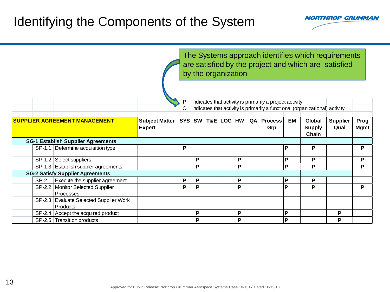

|                                                            |                       |            |                                                                             | by the organization |            |   |  |                                                         |    | The Systems approach identifies which requirements<br>are satisfied by the project and which are satisfied |                 |             |  |
|------------------------------------------------------------|-----------------------|------------|-----------------------------------------------------------------------------|---------------------|------------|---|--|---------------------------------------------------------|----|------------------------------------------------------------------------------------------------------------|-----------------|-------------|--|
|                                                            |                       |            |                                                                             |                     |            |   |  | Indicates that activity is primarily a project activity |    |                                                                                                            |                 |             |  |
|                                                            |                       |            | Indicates that activity is primarily a functional (organizational) activity |                     |            |   |  |                                                         |    |                                                                                                            |                 |             |  |
| <b>SUPPLIER AGREEMENT MANAGEMENT</b>                       | <b>Subject Matter</b> | <b>SYS</b> | SW                                                                          |                     | T&E LOG HW |   |  | QA   Process                                            | ЕM | Global                                                                                                     | <b>Supplier</b> | Prog        |  |
|                                                            | <b>Expert</b>         |            |                                                                             |                     |            |   |  | Grp                                                     |    | <b>Supply</b><br>Chain                                                                                     | Qual            | <b>Mgmt</b> |  |
| <b>SG-1 Establish Supplier Agreements</b>                  |                       |            |                                                                             |                     |            |   |  |                                                         |    |                                                                                                            |                 |             |  |
| SP-1.1 Determine acquisition type                          |                       | Р          |                                                                             |                     |            |   |  |                                                         | P  | P                                                                                                          |                 | P           |  |
| SP-1.2 Select suppliers                                    |                       |            | P                                                                           |                     |            | P |  |                                                         | P  | P                                                                                                          |                 | P           |  |
| SP-1.3 Establish suppler agreements                        |                       |            | P                                                                           |                     |            | P |  |                                                         | P  | P                                                                                                          |                 | P           |  |
| <b>SG-2 Satisfy Supplier Agreements</b>                    |                       |            |                                                                             |                     |            |   |  |                                                         |    |                                                                                                            |                 |             |  |
| SP-2.1 Execute the supplier agreement                      |                       | P          | P                                                                           |                     |            | Ρ |  |                                                         | P  | P                                                                                                          |                 |             |  |
| SP-2.2 Monitor Selected Supplier<br>Processes              |                       | P          | P                                                                           |                     |            | P |  |                                                         | P  | P                                                                                                          |                 | P           |  |
| SP-2.3 Evaluate Selected Supplier Work<br><b>IProducts</b> |                       |            |                                                                             |                     |            |   |  |                                                         |    |                                                                                                            |                 |             |  |
| SP-2.4 Accept the acquired product                         |                       |            | P                                                                           |                     |            | P |  |                                                         | P  |                                                                                                            | P               |             |  |
| SP-2.5 Transition products                                 |                       |            | P                                                                           |                     |            | P |  |                                                         | P  |                                                                                                            | P               |             |  |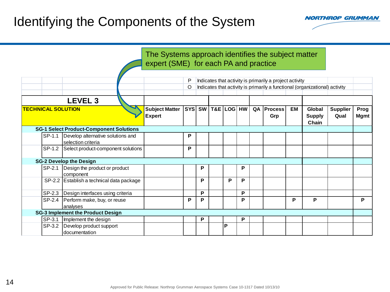

|                                                                                                                     | The Systems approach identifies the subject matter<br>expert (SME) for each PA and practice                                                      |   |   |                         |   |   |  |                          |    |                                  |                         |                     |
|---------------------------------------------------------------------------------------------------------------------|--------------------------------------------------------------------------------------------------------------------------------------------------|---|---|-------------------------|---|---|--|--------------------------|----|----------------------------------|-------------------------|---------------------|
|                                                                                                                     | P<br>Indicates that activity is primarily a project activity<br>O<br>Indicates that activity is primarily a functional (organizational) activity |   |   |                         |   |   |  |                          |    |                                  |                         |                     |
| <b>LEVEL 3</b><br><b>TECHNICAL SOLUTION</b>                                                                         | <b>Subject Matter</b><br><b>Expert</b>                                                                                                           |   |   | SYS SW   T&E   LOG   HW |   |   |  | <b>QA Process</b><br>Grp | EM | Global<br><b>Supply</b><br>Chain | <b>Supplier</b><br>Qual | Prog<br><b>Mgmt</b> |
| <b>SG-1 Select Product-Component Solutions</b><br>SP-1.1<br>Develop alternative solutions and<br>selection criteria |                                                                                                                                                  | P |   |                         |   |   |  |                          |    |                                  |                         |                     |
| Select product-component solutions<br>SP-1.2<br><b>SG-2 Develop the Design</b>                                      |                                                                                                                                                  | P |   |                         |   |   |  |                          |    |                                  |                         |                     |
| SP-2.1<br>Design the product or product<br>component                                                                |                                                                                                                                                  |   | P |                         |   | P |  |                          |    |                                  |                         |                     |
| SP-2.2 Establish a technical data package                                                                           |                                                                                                                                                  |   | P |                         | P | P |  |                          |    |                                  |                         |                     |
| SP-2.3   Design interfaces using criteria                                                                           |                                                                                                                                                  |   | P |                         |   | P |  |                          |    |                                  |                         |                     |
| SP-2.4<br>Perform make, buy, or reuse<br>analyses                                                                   |                                                                                                                                                  | P | P |                         |   | P |  |                          | P  | P                                |                         | P                   |
| <b>SG-3 Implement the Product Design</b>                                                                            |                                                                                                                                                  |   |   |                         |   |   |  |                          |    |                                  |                         |                     |
| SP-3.1<br>Implement the design                                                                                      |                                                                                                                                                  |   | P |                         |   | P |  |                          |    |                                  |                         |                     |
| SP-3.2<br>Develop product support<br>documentation                                                                  |                                                                                                                                                  |   |   |                         | P |   |  |                          |    |                                  |                         |                     |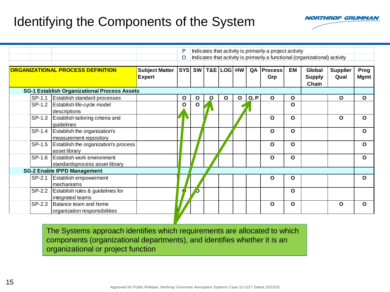

|        |                                                                     |                                        | P            |              | Indicates that activity is primarily a project activity |   |   |      |                                                                             |           |                                  |                         |                     |
|--------|---------------------------------------------------------------------|----------------------------------------|--------------|--------------|---------------------------------------------------------|---|---|------|-----------------------------------------------------------------------------|-----------|----------------------------------|-------------------------|---------------------|
|        |                                                                     |                                        | O            |              |                                                         |   |   |      | Indicates that activity is primarily a functional (organizational) activity |           |                                  |                         |                     |
|        | <b>ORGANIZATIONAL PROCESS DEFINITION</b>                            | <b>Subject Matter</b><br><b>Expert</b> |              |              | SYS SW T&E LOG HW                                       |   |   |      | QA   Process  <br>Grp                                                       | <b>EM</b> | Global<br><b>Supply</b><br>Chain | <b>Supplier</b><br>Qual | Prog<br><b>Mgmt</b> |
|        | <b>SG-1 Establish Organizational Process Assets</b>                 |                                        |              |              |                                                         |   |   |      |                                                                             |           |                                  |                         |                     |
| SP-1.1 | <b>Establish standard processes</b>                                 |                                        | $\mathbf{o}$ | $\mathbf{o}$ | O                                                       | O | O | Q, P | $\mathbf{o}$                                                                | O         |                                  | $\mathbf{o}$            | $\mathbf{o}$        |
|        | SP-1.2   Establish life-cycle model<br>descriptions                 |                                        | O            | O            |                                                         |   |   |      |                                                                             | O         |                                  |                         |                     |
| SP-1.3 | Establish tailoring criteria and<br>guidelines                      |                                        | V            |              |                                                         |   |   |      | $\mathbf{o}$                                                                | $\Omega$  |                                  | O                       | O                   |
|        | SP-1.4   Establish the organization's<br>measurement repository     |                                        |              |              |                                                         |   |   |      | $\mathbf{o}$                                                                | $\Omega$  |                                  |                         | O                   |
|        | SP-1.5 Establish the organization's process<br>asset library        |                                        |              |              |                                                         |   |   |      | $\mathbf{o}$                                                                | $\Omega$  |                                  |                         | O                   |
|        | SP-1.6 Establish work environment<br>standardsprocess asset library |                                        |              |              |                                                         |   |   |      | $\mathbf{o}$                                                                | O         |                                  |                         | O                   |
|        | <b>SG-2 Enable IPPD Management</b>                                  |                                        |              |              |                                                         |   |   |      |                                                                             |           |                                  |                         |                     |
| SP-2.1 | <b>Establish empowerment</b><br>mechanisms                          |                                        |              |              |                                                         |   |   |      | $\mathbf{o}$                                                                | O         |                                  |                         | $\Omega$            |
| SP-2.2 | Establish rules & guidelines for<br>integrated teams                |                                        |              |              |                                                         |   |   |      |                                                                             | O         |                                  |                         |                     |
|        | SP-2.3 Balance team and home<br>organization responsibilities       |                                        |              |              |                                                         |   |   |      | $\Omega$                                                                    | $\Omega$  |                                  | O                       | $\Omega$            |

The Systems approach identifies which requirements are allocated to which components (organizational departments), and identifies whether it is an organizational or project function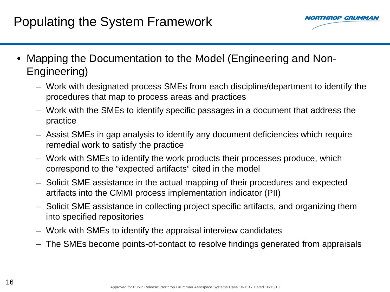# Populating the System Framework



- Mapping the Documentation to the Model (Engineering and Non-Engineering)
	- Work with designated process SMEs from each discipline/department to identify the procedures that map to process areas and practices
	- Work with the SMEs to identify specific passages in a document that address the practice
	- Assist SMEs in gap analysis to identify any document deficiencies which require remedial work to satisfy the practice
	- Work with SMEs to identify the work products their processes produce, which correspond to the "expected artifacts" cited in the model
	- Solicit SME assistance in the actual mapping of their procedures and expected artifacts into the CMMI process implementation indicator (PII)
	- Solicit SME assistance in collecting project specific artifacts, and organizing them into specified repositories
	- Work with SMEs to identify the appraisal interview candidates
	- The SMEs become points-of-contact to resolve findings generated from appraisals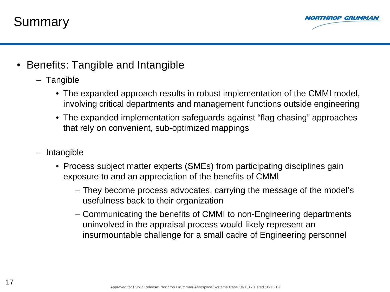



- Benefits: Tangible and Intangible
	- Tangible
		- The expanded approach results in robust implementation of the CMMI model, involving critical departments and management functions outside engineering
		- The expanded implementation safeguards against "flag chasing" approaches that rely on convenient, sub-optimized mappings
	- Intangible
		- Process subject matter experts (SMEs) from participating disciplines gain exposure to and an appreciation of the benefits of CMMI
			- They become process advocates, carrying the message of the model's usefulness back to their organization
			- Communicating the benefits of CMMI to non-Engineering departments uninvolved in the appraisal process would likely represent an insurmountable challenge for a small cadre of Engineering personnel